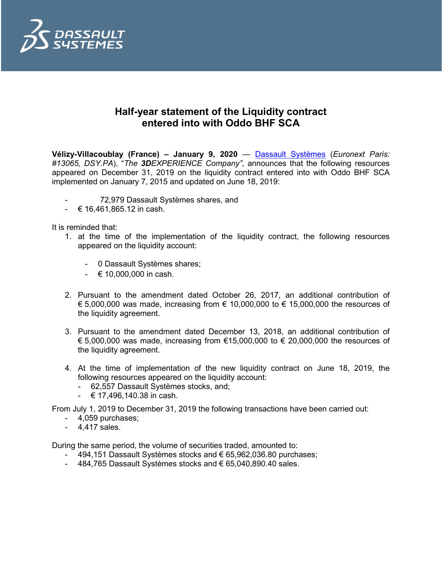

## **Half-year statement of the Liquidity contract entered into with Oddo BHF SCA**

**Vélizy-Villacoublay (France) – January 9, 2020** — [Dassault Systèmes](http://www.3ds.com/) (*Euronext Paris: #13065, DSY.PA*), "*The 3DEXPERIENCE Company"*, announces that the following resources appeared on December 31, 2019 on the liquidity contract entered into with Oddo BHF SCA implemented on January 7, 2015 and updated on June 18, 2019:

- 72,979 Dassault Systèmes shares, and
- € 16,461,865.12 in cash.

It is reminded that:

- 1. at the time of the implementation of the liquidity contract, the following resources appeared on the liquidity account:
	- 0 Dassault Systèmes shares;
	- $610,000,000$  in cash.
- 2. Pursuant to the amendment dated October 26, 2017, an additional contribution of  $€ 5,000,000$  was made, increasing from  $€ 10,000,000$  to  $€ 15,000,000$  the resources of the liquidity agreement.
- 3. Pursuant to the amendment dated December 13, 2018, an additional contribution of € 5,000,000 was made, increasing from €15,000,000 to € 20,000,000 the resources of the liquidity agreement.
- 4. At the time of implementation of the new liquidity contract on June 18, 2019, the following resources appeared on the liquidity account:
	- 62,557 Dassault Systèmes stocks, and;
	- $-$  € 17,496,140.38 in cash.

From July 1, 2019 to December 31, 2019 the following transactions have been carried out:

- 4,059 purchases;
- 4,417 sales.

During the same period, the volume of securities traded, amounted to:

- 494,151 Dassault Systèmes stocks and € 65,962,036.80 purchases;
- 484,765 Dassault Systèmes stocks and € 65,040,890.40 sales.